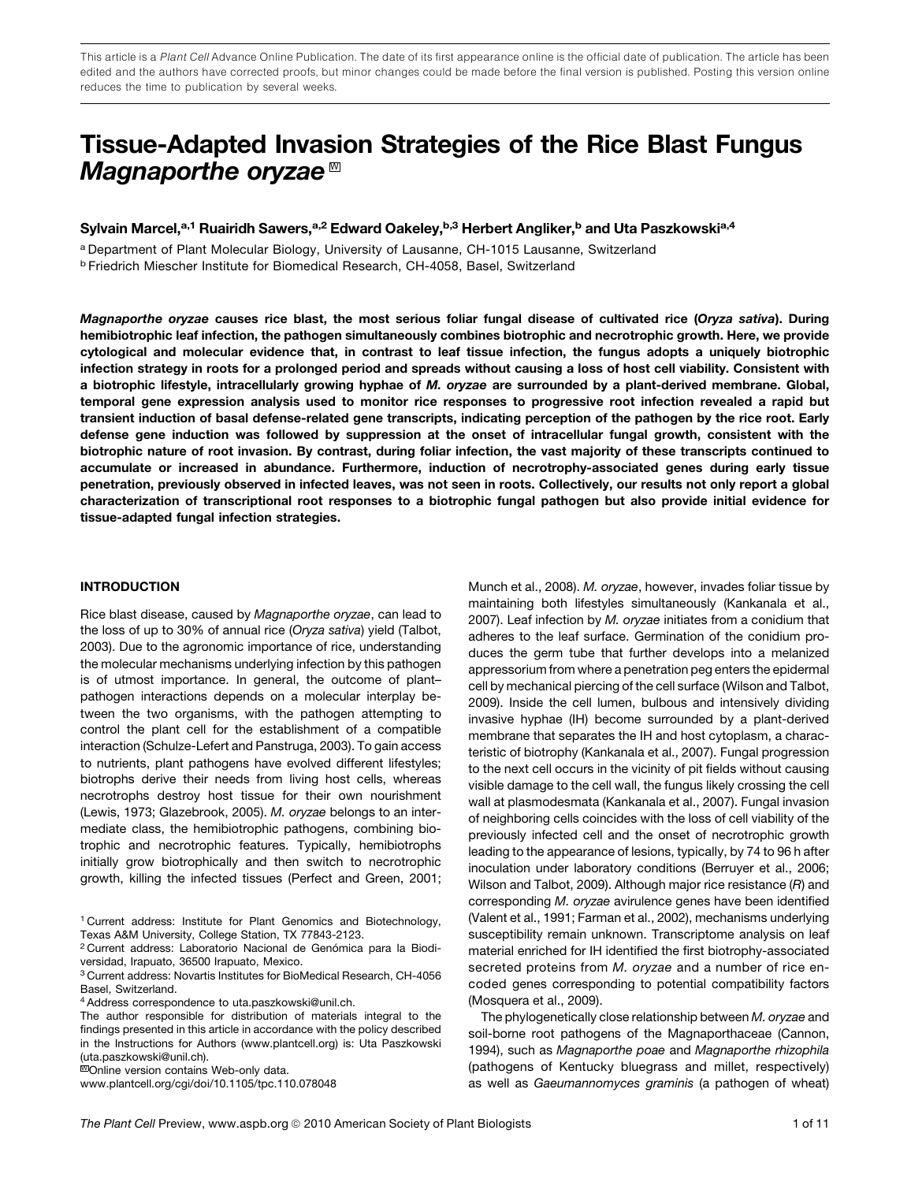This article is a Plant Cell Advance Online Publication. The date of its first appearance online is the official date of publication. The article has been edited and the authors have corrected proofs, but minor changes could be made before the final version is published. Posting this version online reduces the time to publication by several weeks.

# Tissue-Adapted Invasion Strategies of the Rice Blast Fungus Magnaporthe oryzae  $^{\text{w}}$

Sylvain Marcel,<sup>a,1</sup> Ruairidh Sawers,<sup>a,2</sup> Edward Oakeley,<sup>b,3</sup> Herbert Angliker,<sup>b</sup> and Uta Paszkowski<sup>a,4</sup>

a Department of Plant Molecular Biology, University of Lausanne, CH-1015 Lausanne, Switzerland <sup>b</sup> Friedrich Miescher Institute for Biomedical Research, CH-4058, Basel, Switzerland

Magnaporthe oryzae causes rice blast, the most serious foliar fungal disease of cultivated rice (Oryza sativa). During hemibiotrophic leaf infection, the pathogen simultaneously combines biotrophic and necrotrophic growth. Here, we provide cytological and molecular evidence that, in contrast to leaf tissue infection, the fungus adopts a uniquely biotrophic infection strategy in roots for a prolonged period and spreads without causing a loss of host cell viability. Consistent with a biotrophic lifestyle, intracellularly growing hyphae of M. oryzae are surrounded by a plant-derived membrane. Global, temporal gene expression analysis used to monitor rice responses to progressive root infection revealed a rapid but transient induction of basal defense-related gene transcripts, indicating perception of the pathogen by the rice root. Early defense gene induction was followed by suppression at the onset of intracellular fungal growth, consistent with the biotrophic nature of root invasion. By contrast, during foliar infection, the vast majority of these transcripts continued to accumulate or increased in abundance. Furthermore, induction of necrotrophy-associated genes during early tissue penetration, previously observed in infected leaves, was not seen in roots. Collectively, our results not only report a global characterization of transcriptional root responses to a biotrophic fungal pathogen but also provide initial evidence for tissue-adapted fungal infection strategies.

#### INTRODUCTION

Rice blast disease, caused by *Magnaporthe oryzae*, can lead to the loss of up to 30% of annual rice (*Oryza sativa*) yield (Talbot, 2003). Due to the agronomic importance of rice, understanding the molecular mechanisms underlying infection by this pathogen is of utmost importance. In general, the outcome of plant– pathogen interactions depends on a molecular interplay between the two organisms, with the pathogen attempting to control the plant cell for the establishment of a compatible interaction (Schulze-Lefert and Panstruga, 2003). To gain access to nutrients, plant pathogens have evolved different lifestyles; biotrophs derive their needs from living host cells, whereas necrotrophs destroy host tissue for their own nourishment (Lewis, 1973; Glazebrook, 2005). *M. oryzae* belongs to an intermediate class, the hemibiotrophic pathogens, combining biotrophic and necrotrophic features. Typically, hemibiotrophs initially grow biotrophically and then switch to necrotrophic growth, killing the infected tissues (Perfect and Green, 2001;

**WOnline version contains Web-only data.** 

www.plantcell.org/cgi/doi/10.1105/tpc.110.078048

Munch et al., 2008). *M. oryzae*, however, invades foliar tissue by maintaining both lifestyles simultaneously (Kankanala et al., 2007). Leaf infection by *M. oryzae* initiates from a conidium that adheres to the leaf surface. Germination of the conidium produces the germ tube that further develops into a melanized appressorium from where a penetration peg enters the epidermal cell by mechanical piercing of the cell surface (Wilson and Talbot, 2009). Inside the cell lumen, bulbous and intensively dividing invasive hyphae (IH) become surrounded by a plant-derived membrane that separates the IH and host cytoplasm, a characteristic of biotrophy (Kankanala et al., 2007). Fungal progression to the next cell occurs in the vicinity of pit fields without causing visible damage to the cell wall, the fungus likely crossing the cell wall at plasmodesmata (Kankanala et al., 2007). Fungal invasion of neighboring cells coincides with the loss of cell viability of the previously infected cell and the onset of necrotrophic growth leading to the appearance of lesions, typically, by 74 to 96 h after inoculation under laboratory conditions (Berruyer et al., 2006; Wilson and Talbot, 2009). Although major rice resistance (*R*) and corresponding *M. oryzae* avirulence genes have been identified (Valent et al., 1991; Farman et al., 2002), mechanisms underlying susceptibility remain unknown. Transcriptome analysis on leaf material enriched for IH identified the first biotrophy-associated secreted proteins from *M. oryzae* and a number of rice encoded genes corresponding to potential compatibility factors (Mosquera et al., 2009).

The phylogenetically close relationship between *M. oryzae* and soil-borne root pathogens of the Magnaporthaceae (Cannon, 1994), such as *Magnaporthe poae* and *Magnaporthe rhizophila* (pathogens of Kentucky bluegrass and millet, respectively) as well as *Gaeumannomyces graminis* (a pathogen of wheat)

<sup>&</sup>lt;sup>1</sup> Current address: Institute for Plant Genomics and Biotechnology, Texas A&M University, College Station, TX 77843-2123.

<sup>&</sup>lt;sup>2</sup> Current address: Laboratorio Nacional de Genómica para la Biodiversidad, Irapuato, 36500 Irapuato, Mexico.

<sup>3</sup> Current address: Novartis Institutes for BioMedical Research, CH-4056 Basel, Switzerland.

<sup>4</sup>Address correspondence to uta.paszkowski@unil.ch.

The author responsible for distribution of materials integral to the findings presented in this article in accordance with the policy described in the Instructions for Authors (www.plantcell.org) is: Uta Paszkowski (uta.paszkowski@unil.ch).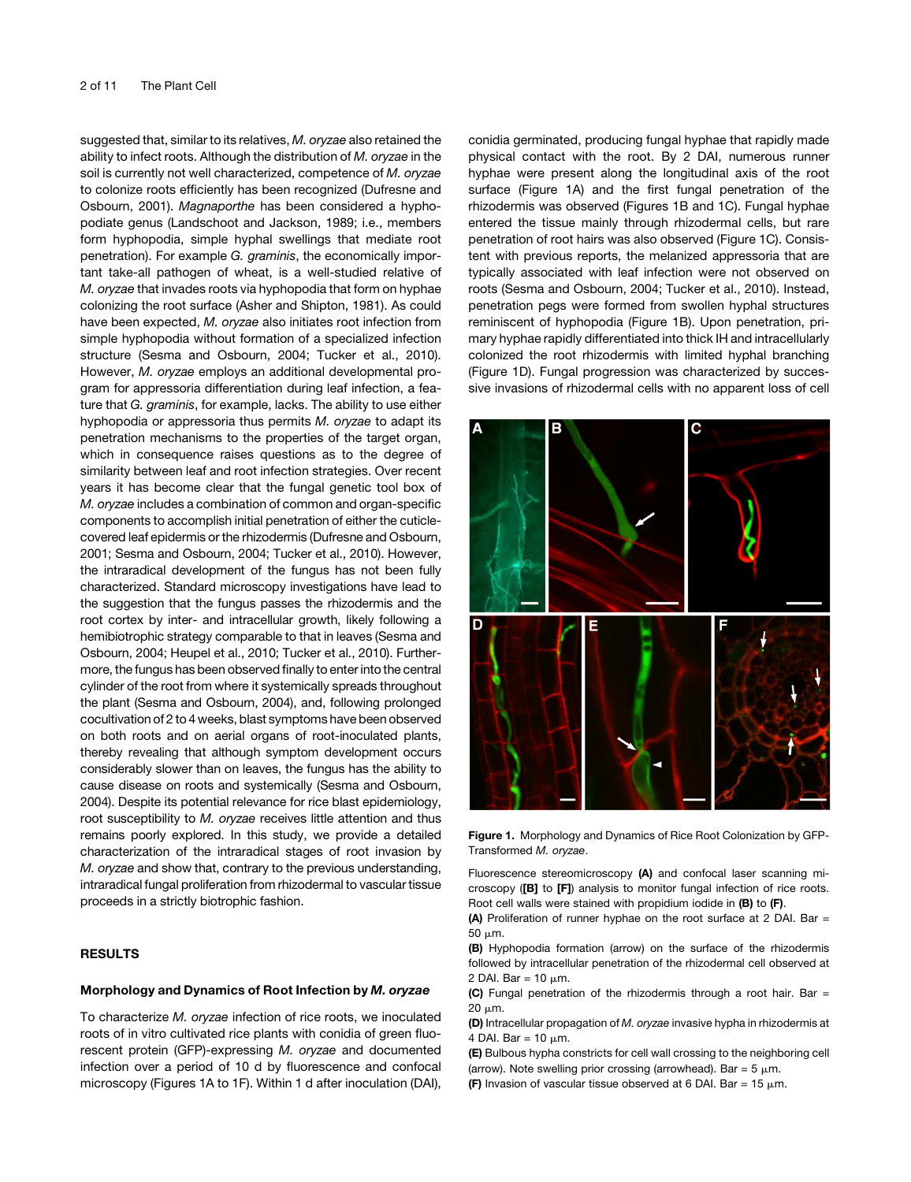suggested that, similar to its relatives, *M. oryzae* also retained the ability to infect roots. Although the distribution of *M. oryzae* in the soil is currently not well characterized, competence of *M. oryzae* to colonize roots efficiently has been recognized (Dufresne and Osbourn, 2001). *Magnaporthe* has been considered a hyphopodiate genus (Landschoot and Jackson, 1989; i.e., members form hyphopodia, simple hyphal swellings that mediate root penetration). For example *G. graminis*, the economically important take-all pathogen of wheat, is a well-studied relative of *M. oryzae* that invades roots via hyphopodia that form on hyphae colonizing the root surface (Asher and Shipton, 1981). As could have been expected, *M. oryzae* also initiates root infection from simple hyphopodia without formation of a specialized infection structure (Sesma and Osbourn, 2004; Tucker et al., 2010). However, *M. oryzae* employs an additional developmental program for appressoria differentiation during leaf infection, a feature that *G. graminis*, for example, lacks. The ability to use either hyphopodia or appressoria thus permits *M. oryzae* to adapt its penetration mechanisms to the properties of the target organ, which in consequence raises questions as to the degree of similarity between leaf and root infection strategies. Over recent years it has become clear that the fungal genetic tool box of *M. oryzae* includes a combination of common and organ-specific components to accomplish initial penetration of either the cuticlecovered leaf epidermis or the rhizodermis (Dufresne and Osbourn, 2001; Sesma and Osbourn, 2004; Tucker et al., 2010). However, the intraradical development of the fungus has not been fully characterized. Standard microscopy investigations have lead to the suggestion that the fungus passes the rhizodermis and the root cortex by inter- and intracellular growth, likely following a hemibiotrophic strategy comparable to that in leaves (Sesma and Osbourn, 2004; Heupel et al., 2010; Tucker et al., 2010). Furthermore, the fungus has been observed finally to enter into the central cylinder of the root from where it systemically spreads throughout the plant (Sesma and Osbourn, 2004), and, following prolonged cocultivation of 2 to 4 weeks, blast symptoms have been observed on both roots and on aerial organs of root-inoculated plants, thereby revealing that although symptom development occurs considerably slower than on leaves, the fungus has the ability to cause disease on roots and systemically (Sesma and Osbourn, 2004). Despite its potential relevance for rice blast epidemiology, root susceptibility to *M. oryzae* receives little attention and thus remains poorly explored. In this study, we provide a detailed characterization of the intraradical stages of root invasion by *M. oryzae* and show that, contrary to the previous understanding, intraradical fungal proliferation from rhizodermal to vascular tissue proceeds in a strictly biotrophic fashion.

#### RESULTS

#### Morphology and Dynamics of Root Infection by M. oryzae

To characterize *M. oryzae* infection of rice roots, we inoculated roots of in vitro cultivated rice plants with conidia of green fluorescent protein (GFP)-expressing *M. oryzae* and documented infection over a period of 10 d by fluorescence and confocal microscopy (Figures 1A to 1F). Within 1 d after inoculation (DAI), conidia germinated, producing fungal hyphae that rapidly made physical contact with the root. By 2 DAI, numerous runner hyphae were present along the longitudinal axis of the root surface (Figure 1A) and the first fungal penetration of the rhizodermis was observed (Figures 1B and 1C). Fungal hyphae entered the tissue mainly through rhizodermal cells, but rare penetration of root hairs was also observed (Figure 1C). Consistent with previous reports, the melanized appressoria that are typically associated with leaf infection were not observed on roots (Sesma and Osbourn, 2004; Tucker et al., 2010). Instead, penetration pegs were formed from swollen hyphal structures reminiscent of hyphopodia (Figure 1B). Upon penetration, primary hyphae rapidly differentiated into thick IH and intracellularly colonized the root rhizodermis with limited hyphal branching (Figure 1D). Fungal progression was characterized by successive invasions of rhizodermal cells with no apparent loss of cell



Figure 1. Morphology and Dynamics of Rice Root Colonization by GFP-Transformed *M. oryzae*.

Fluorescence stereomicroscopy (A) and confocal laser scanning microscopy ([B] to [F]) analysis to monitor fungal infection of rice roots. Root cell walls were stained with propidium iodide in (B) to (F).

(A) Proliferation of runner hyphae on the root surface at 2 DAI. Bar = 50 mm.

(B) Hyphopodia formation (arrow) on the surface of the rhizodermis followed by intracellular penetration of the rhizodermal cell observed at 2 DAI. Bar =  $10 \mu m$ .

(C) Fungal penetration of the rhizodermis through a root hair. Bar  $=$ 20 um.

(D) Intracellular propagation of *M. oryzae* invasive hypha in rhizodermis at 4 DAI. Bar =  $10 \mu m$ .

(E) Bulbous hypha constricts for cell wall crossing to the neighboring cell (arrow). Note swelling prior crossing (arrowhead). Bar =  $5 \mu m$ .

(F) Invasion of vascular tissue observed at 6 DAI. Bar = 15  $\mu$ m.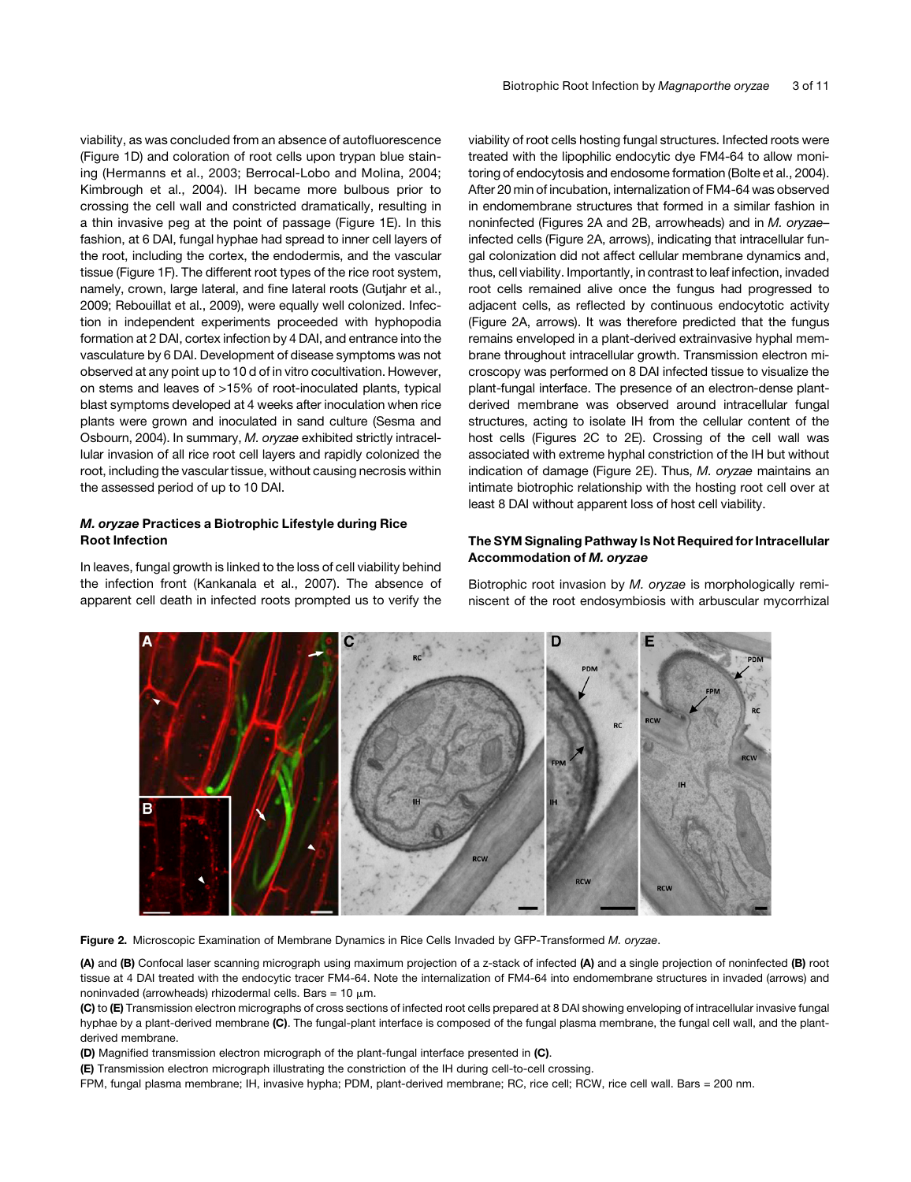viability, as was concluded from an absence of autofluorescence (Figure 1D) and coloration of root cells upon trypan blue staining (Hermanns et al., 2003; Berrocal-Lobo and Molina, 2004; Kimbrough et al., 2004). IH became more bulbous prior to crossing the cell wall and constricted dramatically, resulting in a thin invasive peg at the point of passage (Figure 1E). In this fashion, at 6 DAI, fungal hyphae had spread to inner cell layers of the root, including the cortex, the endodermis, and the vascular tissue (Figure 1F). The different root types of the rice root system, namely, crown, large lateral, and fine lateral roots (Gutjahr et al., 2009; Rebouillat et al., 2009), were equally well colonized. Infection in independent experiments proceeded with hyphopodia formation at 2 DAI, cortex infection by 4 DAI, and entrance into the vasculature by 6 DAI. Development of disease symptoms was not observed at any point up to 10 d of in vitro cocultivation. However, on stems and leaves of >15% of root-inoculated plants, typical blast symptoms developed at 4 weeks after inoculation when rice plants were grown and inoculated in sand culture (Sesma and Osbourn, 2004). In summary, *M. oryzae* exhibited strictly intracellular invasion of all rice root cell layers and rapidly colonized the root, including the vascular tissue, without causing necrosis within the assessed period of up to 10 DAI.

### M. oryzae Practices a Biotrophic Lifestyle during Rice Root Infection

In leaves, fungal growth is linked to the loss of cell viability behind the infection front (Kankanala et al., 2007). The absence of apparent cell death in infected roots prompted us to verify the viability of root cells hosting fungal structures. Infected roots were treated with the lipophilic endocytic dye FM4-64 to allow monitoring of endocytosis and endosome formation (Bolte et al., 2004). After 20 min of incubation, internalization of FM4-64 was observed in endomembrane structures that formed in a similar fashion in noninfected (Figures 2A and 2B, arrowheads) and in *M. oryzae*– infected cells (Figure 2A, arrows), indicating that intracellular fungal colonization did not affect cellular membrane dynamics and, thus, cell viability. Importantly, in contrast to leaf infection, invaded root cells remained alive once the fungus had progressed to adjacent cells, as reflected by continuous endocytotic activity (Figure 2A, arrows). It was therefore predicted that the fungus remains enveloped in a plant-derived extrainvasive hyphal membrane throughout intracellular growth. Transmission electron microscopy was performed on 8 DAI infected tissue to visualize the plant-fungal interface. The presence of an electron-dense plantderived membrane was observed around intracellular fungal structures, acting to isolate IH from the cellular content of the host cells (Figures 2C to 2E). Crossing of the cell wall was associated with extreme hyphal constriction of the IH but without indication of damage (Figure 2E). Thus, *M. oryzae* maintains an intimate biotrophic relationship with the hosting root cell over at least 8 DAI without apparent loss of host cell viability.

#### The SYM Signaling Pathway Is Not Required for Intracellular Accommodation of M. oryzae

Biotrophic root invasion by *M. oryzae* is morphologically reminiscent of the root endosymbiosis with arbuscular mycorrhizal



Figure 2. Microscopic Examination of Membrane Dynamics in Rice Cells Invaded by GFP-Transformed *M. oryzae*.

(A) and (B) Confocal laser scanning micrograph using maximum projection of a z-stack of infected (A) and a single projection of noninfected (B) root tissue at 4 DAI treated with the endocytic tracer FM4-64. Note the internalization of FM4-64 into endomembrane structures in invaded (arrows) and noninvaded (arrowheads) rhizodermal cells. Bars =  $10 \mu m$ .

(C) to (E) Transmission electron micrographs of cross sections of infected root cells prepared at 8 DAI showing enveloping of intracellular invasive fungal hyphae by a plant-derived membrane (C). The fungal-plant interface is composed of the fungal plasma membrane, the fungal cell wall, and the plantderived membrane.

(D) Magnified transmission electron micrograph of the plant-fungal interface presented in (C).

(E) Transmission electron micrograph illustrating the constriction of the IH during cell-to-cell crossing.

FPM, fungal plasma membrane; IH, invasive hypha; PDM, plant-derived membrane; RC, rice cell; RCW, rice cell wall. Bars = 200 nm.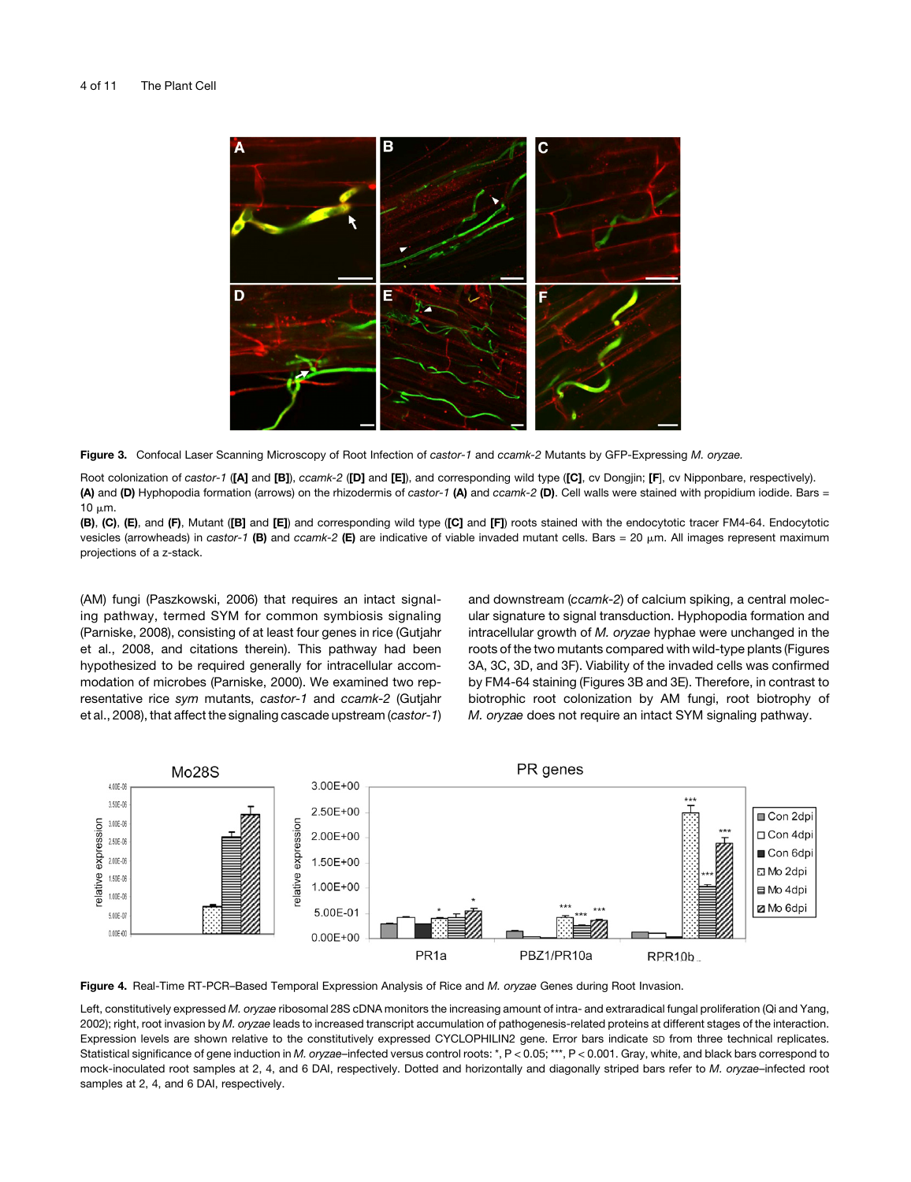

Figure 3. Confocal Laser Scanning Microscopy of Root Infection of *castor-1* and *ccamk-2* Mutants by GFP-Expressing *M. oryzae.*

Root colonization of *castor-1* ([A] and [B]), *ccamk-2* ([D] and [E]), and corresponding wild type ([C], cv Dongjin; [F], cv Nipponbare, respectively). (A) and (D) Hyphopodia formation (arrows) on the rhizodermis of *castor-1* (A) and *ccamk-2* (D). Cell walls were stained with propidium iodide. Bars =  $10 \mu m$ .

(B), (C), (E), and (F), Mutant ([B] and [E]) and corresponding wild type ([C] and [F]) roots stained with the endocytotic tracer FM4-64. Endocytotic vesicles (arrowheads) in *castor-1* (B) and *ccamk-2* (E) are indicative of viable invaded mutant cells. Bars = 20 mm. All images represent maximum projections of a z-stack.

(AM) fungi (Paszkowski, 2006) that requires an intact signaling pathway, termed SYM for common symbiosis signaling (Parniske, 2008), consisting of at least four genes in rice (Gutjahr et al., 2008, and citations therein). This pathway had been hypothesized to be required generally for intracellular accommodation of microbes (Parniske, 2000). We examined two representative rice *sym* mutants, *castor-1* and *ccamk-2* (Gutjahr et al., 2008), that affect the signaling cascade upstream (*castor-1*) and downstream (*ccamk-2*) of calcium spiking, a central molecular signature to signal transduction. Hyphopodia formation and intracellular growth of *M. oryzae* hyphae were unchanged in the roots of the two mutants compared with wild-type plants (Figures 3A, 3C, 3D, and 3F). Viability of the invaded cells was confirmed by FM4-64 staining (Figures 3B and 3E). Therefore, in contrast to biotrophic root colonization by AM fungi, root biotrophy of *M. oryzae* does not require an intact SYM signaling pathway.



Figure 4. Real-Time RT-PCR–Based Temporal Expression Analysis of Rice and *M. oryzae* Genes during Root Invasion.

Left, constitutively expressed *M. oryzae* ribosomal 28S cDNA monitors the increasing amount of intra- and extraradical fungal proliferation (Qi and Yang, 2002); right, root invasion by *M. oryzae* leads to increased transcript accumulation of pathogenesis-related proteins at different stages of the interaction. Expression levels are shown relative to the constitutively expressed CYCLOPHILIN2 gene. Error bars indicate SD from three technical replicates. Statistical significance of gene induction in *M. oryzae*–infected versus control roots: \*, P < 0.05; \*\*\*, P < 0.001. Gray, white, and black bars correspond to mock-inoculated root samples at 2, 4, and 6 DAI, respectively. Dotted and horizontally and diagonally striped bars refer to *M. oryzae*–infected root samples at 2, 4, and 6 DAI, respectively.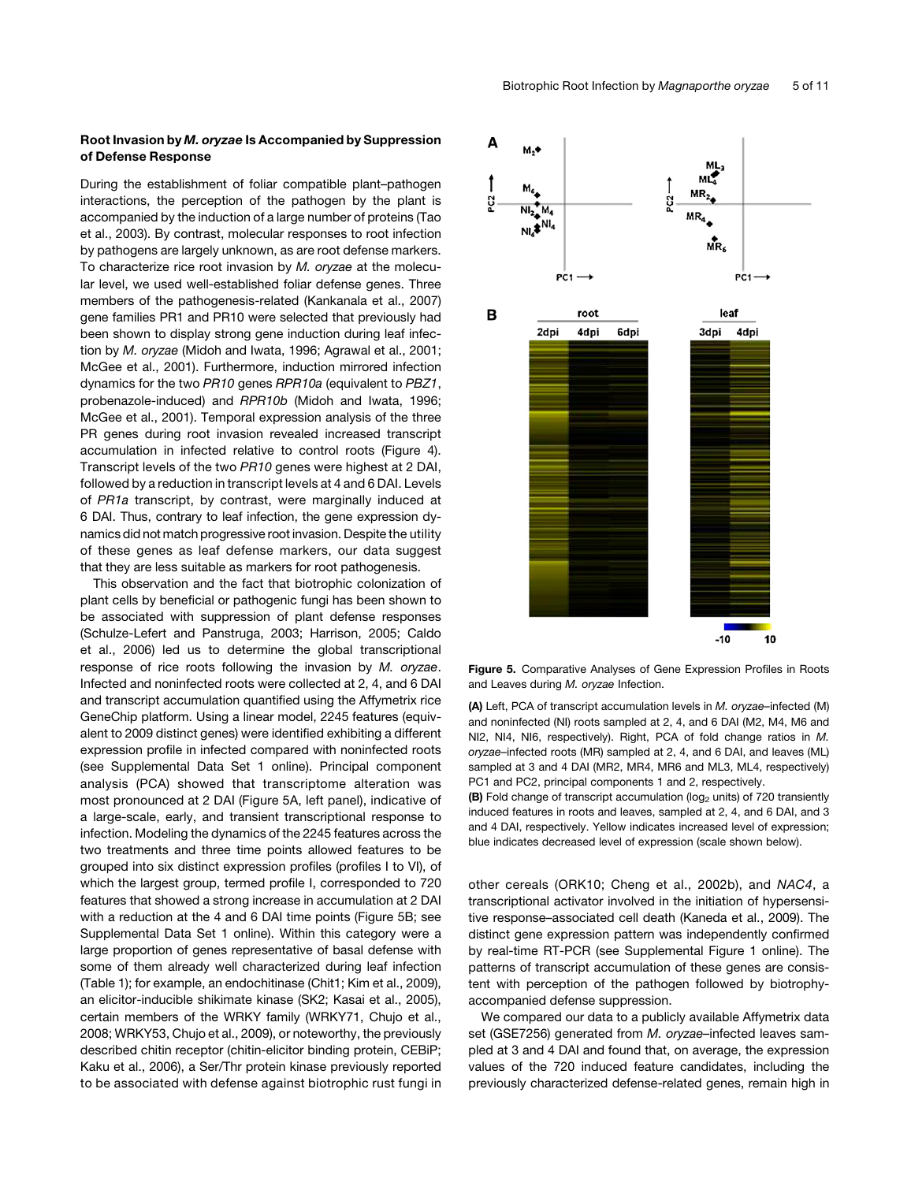#### Root Invasion by M. oryzae Is Accompanied by Suppression of Defense Response

During the establishment of foliar compatible plant–pathogen interactions, the perception of the pathogen by the plant is accompanied by the induction of a large number of proteins (Tao et al., 2003). By contrast, molecular responses to root infection by pathogens are largely unknown, as are root defense markers. To characterize rice root invasion by *M. oryzae* at the molecular level, we used well-established foliar defense genes. Three members of the pathogenesis-related (Kankanala et al., 2007) gene families PR1 and PR10 were selected that previously had been shown to display strong gene induction during leaf infection by *M. oryzae* (Midoh and Iwata, 1996; Agrawal et al., 2001; McGee et al., 2001). Furthermore, induction mirrored infection dynamics for the two *PR10* genes *RPR10a* (equivalent to *PBZ1*, probenazole-induced) and *RPR10b* (Midoh and Iwata, 1996; McGee et al., 2001). Temporal expression analysis of the three PR genes during root invasion revealed increased transcript accumulation in infected relative to control roots (Figure 4). Transcript levels of the two *PR10* genes were highest at 2 DAI, followed by a reduction in transcript levels at 4 and 6 DAI. Levels of *PR1a* transcript, by contrast, were marginally induced at 6 DAI. Thus, contrary to leaf infection, the gene expression dynamics did not match progressive root invasion. Despite the utility of these genes as leaf defense markers, our data suggest that they are less suitable as markers for root pathogenesis.

This observation and the fact that biotrophic colonization of plant cells by beneficial or pathogenic fungi has been shown to be associated with suppression of plant defense responses (Schulze-Lefert and Panstruga, 2003; Harrison, 2005; Caldo et al., 2006) led us to determine the global transcriptional response of rice roots following the invasion by *M. oryzae*. Infected and noninfected roots were collected at 2, 4, and 6 DAI and transcript accumulation quantified using the Affymetrix rice GeneChip platform. Using a linear model, 2245 features (equivalent to 2009 distinct genes) were identified exhibiting a different expression profile in infected compared with noninfected roots (see Supplemental Data Set 1 online). Principal component analysis (PCA) showed that transcriptome alteration was most pronounced at 2 DAI (Figure 5A, left panel), indicative of a large-scale, early, and transient transcriptional response to infection. Modeling the dynamics of the 2245 features across the two treatments and three time points allowed features to be grouped into six distinct expression profiles (profiles I to VI), of which the largest group, termed profile I, corresponded to 720 features that showed a strong increase in accumulation at 2 DAI with a reduction at the 4 and 6 DAI time points (Figure 5B; see Supplemental Data Set 1 online). Within this category were a large proportion of genes representative of basal defense with some of them already well characterized during leaf infection (Table 1); for example, an endochitinase (Chit1; Kim et al., 2009), an elicitor-inducible shikimate kinase (SK2; Kasai et al., 2005), certain members of the WRKY family (WRKY71, Chujo et al., 2008; WRKY53, Chujo et al., 2009), or noteworthy, the previously described chitin receptor (chitin-elicitor binding protein, CEBiP; Kaku et al., 2006), a Ser/Thr protein kinase previously reported to be associated with defense against biotrophic rust fungi in



Figure 5. Comparative Analyses of Gene Expression Profiles in Roots and Leaves during *M. oryzae* Infection.

(A) Left, PCA of transcript accumulation levels in *M. oryzae–*infected (M) and noninfected (NI) roots sampled at 2, 4, and 6 DAI (M2, M4, M6 and NI2, NI4, NI6, respectively). Right, PCA of fold change ratios in *M. oryzae*–infected roots (MR) sampled at 2, 4, and 6 DAI, and leaves (ML) sampled at 3 and 4 DAI (MR2, MR4, MR6 and ML3, ML4, respectively) PC1 and PC2, principal components 1 and 2, respectively.

(B) Fold change of transcript accumulation ( $log<sub>2</sub>$  units) of 720 transiently induced features in roots and leaves, sampled at 2, 4, and 6 DAI, and 3 and 4 DAI, respectively. Yellow indicates increased level of expression; blue indicates decreased level of expression (scale shown below).

other cereals (ORK10; Cheng et al., 2002b), and *NAC4*, a transcriptional activator involved in the initiation of hypersensitive response–associated cell death (Kaneda et al., 2009). The distinct gene expression pattern was independently confirmed by real-time RT-PCR (see Supplemental Figure 1 online). The patterns of transcript accumulation of these genes are consistent with perception of the pathogen followed by biotrophyaccompanied defense suppression.

We compared our data to a publicly available Affymetrix data set (GSE7256) generated from *M. oryzae–*infected leaves sampled at 3 and 4 DAI and found that, on average, the expression values of the 720 induced feature candidates, including the previously characterized defense-related genes, remain high in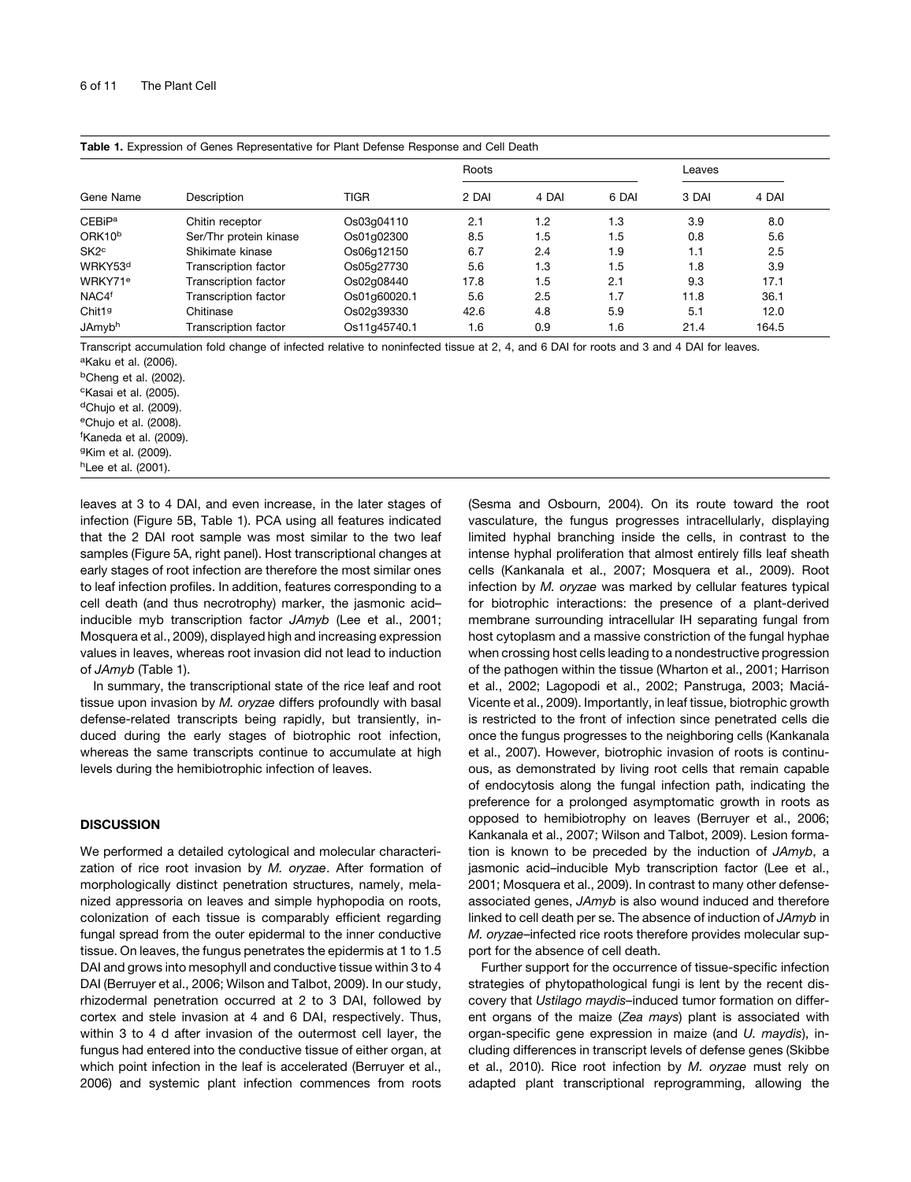| Table 1. Expression of Genes Representative for Plant Defense Response and Cell Death |                        |              |       |       |       |        |       |  |  |
|---------------------------------------------------------------------------------------|------------------------|--------------|-------|-------|-------|--------|-------|--|--|
| Gene Name                                                                             | Description            | TIGR         | Roots |       |       | Leaves |       |  |  |
|                                                                                       |                        |              | 2 DAI | 4 DAI | 6 DAI | 3 DAI  | 4 DAI |  |  |
| <b>CEBiPa</b>                                                                         | Chitin receptor        | Os03q04110   | 2.1   | 1.2   | 1.3   | 3.9    | 8.0   |  |  |
| ORK10 <sup>b</sup>                                                                    | Ser/Thr protein kinase | Os01q02300   | 8.5   | 1.5   | 1.5   | 0.8    | 5.6   |  |  |
| SK <sub>2</sub> c                                                                     | Shikimate kinase       | Os06a12150   | 6.7   | 2.4   | 1.9   | 1.1    | 2.5   |  |  |
| WRKY53 <sup>d</sup>                                                                   | Transcription factor   | Os05q27730   | 5.6   | 1.3   | 1.5   | 1.8    | 3.9   |  |  |
| WRKY71 <sup>e</sup>                                                                   | Transcription factor   | Os02q08440   | 17.8  | 1.5   | 2.1   | 9.3    | 17.1  |  |  |
| NAC4 <sup>f</sup>                                                                     | Transcription factor   | Os01q60020.1 | 5.6   | 2.5   | 1.7   | 11.8   | 36.1  |  |  |
| Chit19                                                                                | Chitinase              | Os02q39330   | 42.6  | 4.8   | 5.9   | 5.1    | 12.0  |  |  |
| JAmyb <sup>h</sup>                                                                    | Transcription factor   | Os11q45740.1 | 1.6   | 0.9   | 1.6   | 21.4   | 164.5 |  |  |

Transcript accumulation fold change of infected relative to noninfected tissue at 2, 4, and 6 DAI for roots and 3 and 4 DAI for leaves. aKaku et al. (2006).

bCheng et al. (2002). cKasai et al. (2005). <sup>d</sup>Chujo et al. (2009). eChujo et al. (2008). f Kaneda et al. (2009).

gKim et al. (2009). hLee et al. (2001).

leaves at 3 to 4 DAI, and even increase, in the later stages of infection (Figure 5B, Table 1). PCA using all features indicated that the 2 DAI root sample was most similar to the two leaf samples (Figure 5A, right panel). Host transcriptional changes at early stages of root infection are therefore the most similar ones to leaf infection profiles. In addition, features corresponding to a cell death (and thus necrotrophy) marker, the jasmonic acid– inducible myb transcription factor *JAmyb* (Lee et al., 2001; Mosquera et al., 2009), displayed high and increasing expression values in leaves, whereas root invasion did not lead to induction of *JAmyb* (Table 1).

In summary, the transcriptional state of the rice leaf and root tissue upon invasion by *M. oryzae* differs profoundly with basal defense-related transcripts being rapidly, but transiently, induced during the early stages of biotrophic root infection, whereas the same transcripts continue to accumulate at high levels during the hemibiotrophic infection of leaves.

#### **DISCUSSION**

We performed a detailed cytological and molecular characterization of rice root invasion by *M. oryzae*. After formation of morphologically distinct penetration structures, namely, melanized appressoria on leaves and simple hyphopodia on roots, colonization of each tissue is comparably efficient regarding fungal spread from the outer epidermal to the inner conductive tissue. On leaves, the fungus penetrates the epidermis at 1 to 1.5 DAI and grows into mesophyll and conductive tissue within 3 to 4 DAI (Berruyer et al., 2006; Wilson and Talbot, 2009). In our study, rhizodermal penetration occurred at 2 to 3 DAI, followed by cortex and stele invasion at 4 and 6 DAI, respectively. Thus, within 3 to 4 d after invasion of the outermost cell layer, the fungus had entered into the conductive tissue of either organ, at which point infection in the leaf is accelerated (Berruyer et al., 2006) and systemic plant infection commences from roots (Sesma and Osbourn, 2004). On its route toward the root vasculature, the fungus progresses intracellularly, displaying limited hyphal branching inside the cells, in contrast to the intense hyphal proliferation that almost entirely fills leaf sheath cells (Kankanala et al., 2007; Mosquera et al., 2009). Root infection by *M. oryzae* was marked by cellular features typical for biotrophic interactions: the presence of a plant-derived membrane surrounding intracellular IH separating fungal from host cytoplasm and a massive constriction of the fungal hyphae when crossing host cells leading to a nondestructive progression of the pathogen within the tissue (Wharton et al., 2001; Harrison et al., 2002; Lagopodi et al., 2002; Panstruga, 2003; Maciá-Vicente et al., 2009). Importantly, in leaf tissue, biotrophic growth is restricted to the front of infection since penetrated cells die once the fungus progresses to the neighboring cells (Kankanala et al., 2007). However, biotrophic invasion of roots is continuous, as demonstrated by living root cells that remain capable of endocytosis along the fungal infection path, indicating the preference for a prolonged asymptomatic growth in roots as opposed to hemibiotrophy on leaves (Berruyer et al., 2006; Kankanala et al., 2007; Wilson and Talbot, 2009). Lesion formation is known to be preceded by the induction of *JAmyb*, a jasmonic acid–inducible Myb transcription factor (Lee et al., 2001; Mosquera et al., 2009). In contrast to many other defenseassociated genes, *JAmyb* is also wound induced and therefore linked to cell death per se. The absence of induction of *JAmyb* in *M. oryzae*–infected rice roots therefore provides molecular support for the absence of cell death.

Further support for the occurrence of tissue-specific infection strategies of phytopathological fungi is lent by the recent discovery that *Ustilago maydis–*induced tumor formation on different organs of the maize (*Zea mays*) plant is associated with organ-specific gene expression in maize (and *U. maydis*), including differences in transcript levels of defense genes (Skibbe et al., 2010). Rice root infection by *M. oryzae* must rely on adapted plant transcriptional reprogramming, allowing the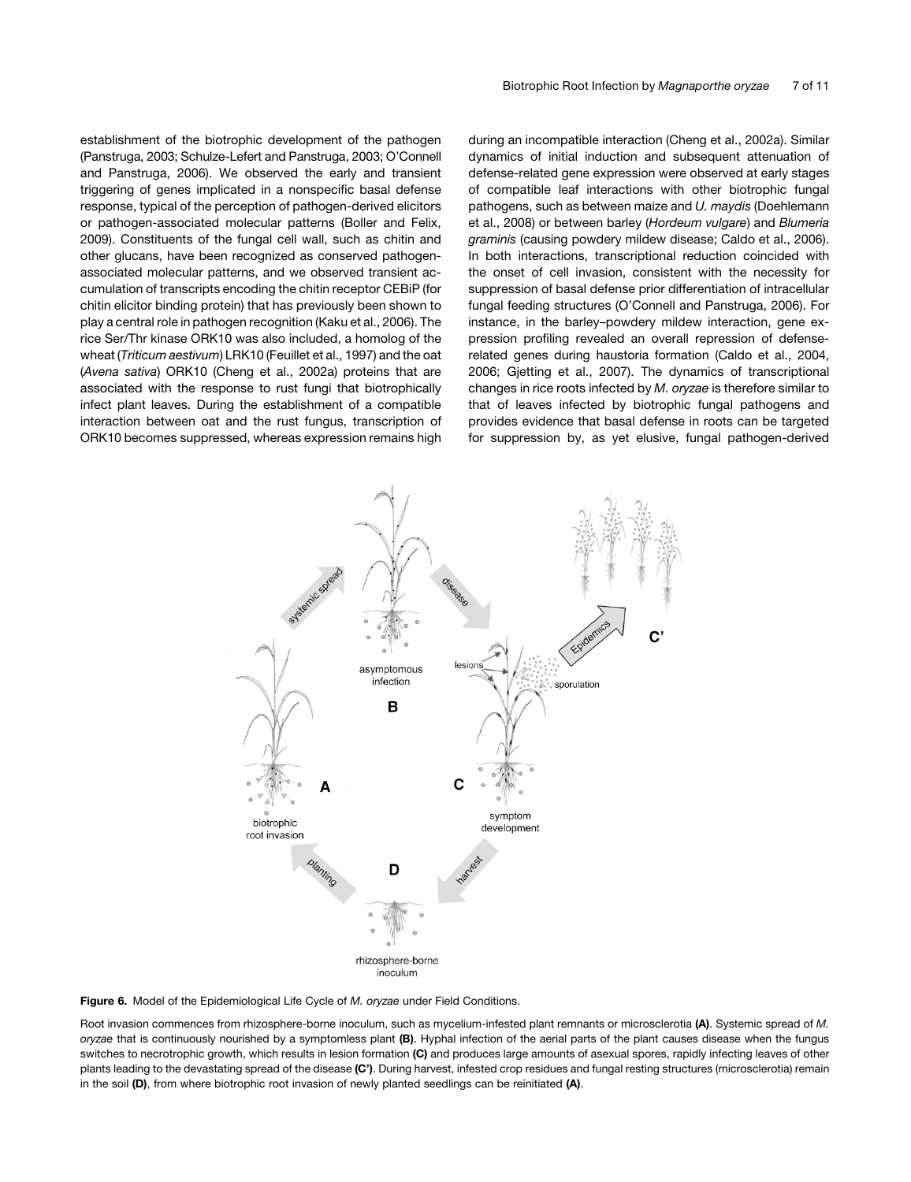establishment of the biotrophic development of the pathogen (Panstruga, 2003; Schulze-Lefert and Panstruga, 2003; O'Connell and Panstruga, 2006). We observed the early and transient triggering of genes implicated in a nonspecific basal defense response, typical of the perception of pathogen-derived elicitors or pathogen-associated molecular patterns (Boller and Felix, 2009). Constituents of the fungal cell wall, such as chitin and other glucans, have been recognized as conserved pathogenassociated molecular patterns, and we observed transient accumulation of transcripts encoding the chitin receptor CEBiP (for chitin elicitor binding protein) that has previously been shown to play a central role in pathogen recognition (Kaku et al., 2006). The rice Ser/Thr kinase ORK10 was also included, a homolog of the wheat (*Triticum aestivum*) LRK10 (Feuillet et al., 1997) and the oat (*Avena sativa*) ORK10 (Cheng et al., 2002a) proteins that are associated with the response to rust fungi that biotrophically infect plant leaves. During the establishment of a compatible interaction between oat and the rust fungus, transcription of ORK10 becomes suppressed, whereas expression remains high during an incompatible interaction (Cheng et al., 2002a). Similar dynamics of initial induction and subsequent attenuation of defense-related gene expression were observed at early stages of compatible leaf interactions with other biotrophic fungal pathogens, such as between maize and *U. maydis* (Doehlemann et al., 2008) or between barley (*Hordeum vulgare*) and *Blumeria graminis* (causing powdery mildew disease; Caldo et al., 2006). In both interactions, transcriptional reduction coincided with the onset of cell invasion, consistent with the necessity for suppression of basal defense prior differentiation of intracellular fungal feeding structures (O'Connell and Panstruga, 2006). For instance, in the barley–powdery mildew interaction, gene expression profiling revealed an overall repression of defenserelated genes during haustoria formation (Caldo et al., 2004, 2006; Gjetting et al., 2007). The dynamics of transcriptional changes in rice roots infected by *M. oryzae* is therefore similar to that of leaves infected by biotrophic fungal pathogens and provides evidence that basal defense in roots can be targeted for suppression by, as yet elusive, fungal pathogen-derived



Figure 6. Model of the Epidemiological Life Cycle of *M. oryzae* under Field Conditions.

Root invasion commences from rhizosphere-borne inoculum, such as mycelium-infested plant remnants or microsclerotia (A). Systemic spread of *M. oryzae* that is continuously nourished by a symptomless plant (B). Hyphal infection of the aerial parts of the plant causes disease when the fungus switches to necrotrophic growth, which results in lesion formation (C) and produces large amounts of asexual spores, rapidly infecting leaves of other plants leading to the devastating spread of the disease (C'). During harvest, infested crop residues and fungal resting structures (microsclerotia) remain in the soil (D), from where biotrophic root invasion of newly planted seedlings can be reinitiated (A).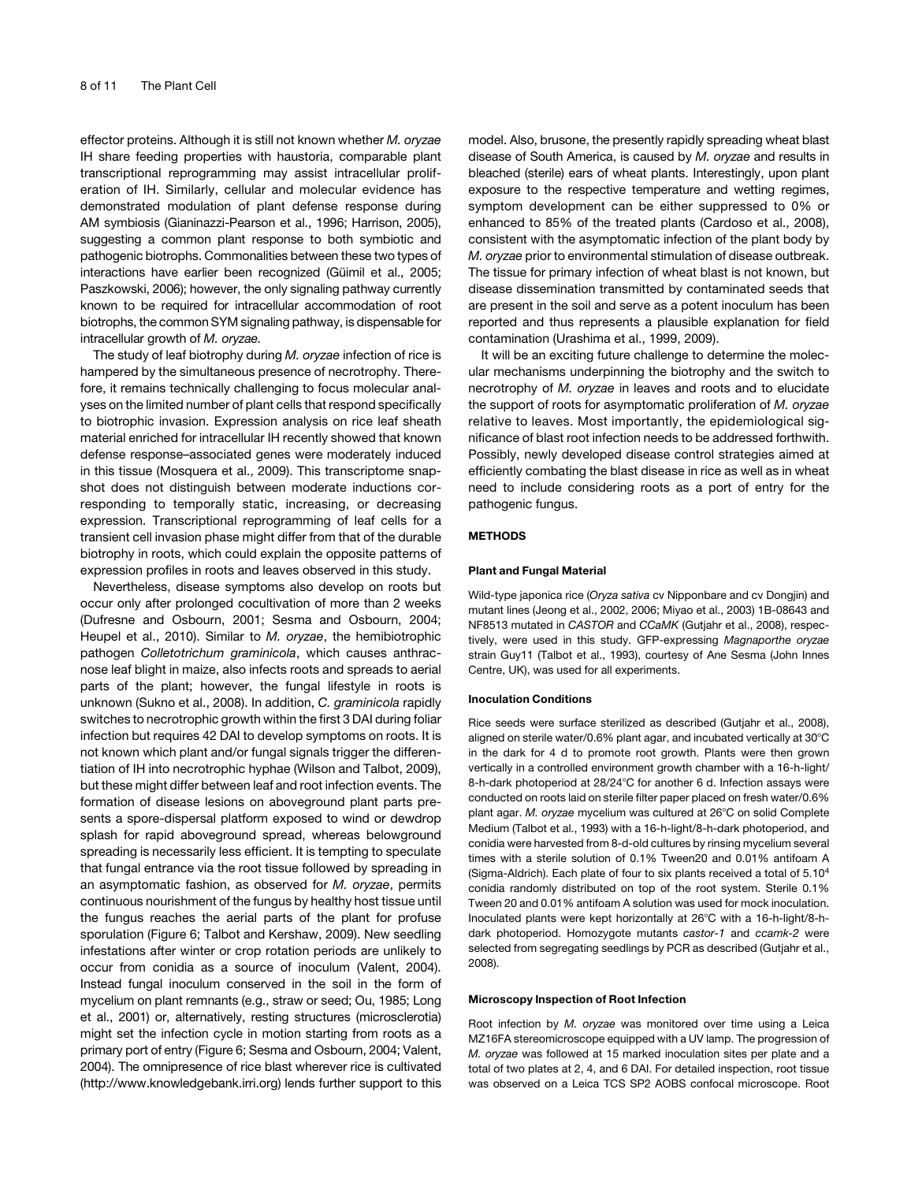effector proteins. Although it is still not known whether *M. oryzae* IH share feeding properties with haustoria, comparable plant transcriptional reprogramming may assist intracellular proliferation of IH. Similarly, cellular and molecular evidence has demonstrated modulation of plant defense response during AM symbiosis (Gianinazzi-Pearson et al., 1996; Harrison, 2005), suggesting a common plant response to both symbiotic and pathogenic biotrophs. Commonalities between these two types of interactions have earlier been recognized (Güimil et al., 2005; Paszkowski, 2006); however, the only signaling pathway currently known to be required for intracellular accommodation of root biotrophs, the common SYM signaling pathway, is dispensable for intracellular growth of *M. oryzae.*

The study of leaf biotrophy during *M. oryzae* infection of rice is hampered by the simultaneous presence of necrotrophy. Therefore, it remains technically challenging to focus molecular analyses on the limited number of plant cells that respond specifically to biotrophic invasion. Expression analysis on rice leaf sheath material enriched for intracellular IH recently showed that known defense response–associated genes were moderately induced in this tissue (Mosquera et al., 2009). This transcriptome snapshot does not distinguish between moderate inductions corresponding to temporally static, increasing, or decreasing expression. Transcriptional reprogramming of leaf cells for a transient cell invasion phase might differ from that of the durable biotrophy in roots, which could explain the opposite patterns of expression profiles in roots and leaves observed in this study.

Nevertheless, disease symptoms also develop on roots but occur only after prolonged cocultivation of more than 2 weeks (Dufresne and Osbourn, 2001; Sesma and Osbourn, 2004; Heupel et al., 2010). Similar to *M. oryzae*, the hemibiotrophic pathogen *Colletotrichum graminicola*, which causes anthracnose leaf blight in maize, also infects roots and spreads to aerial parts of the plant; however, the fungal lifestyle in roots is unknown (Sukno et al., 2008). In addition, *C. graminicola* rapidly switches to necrotrophic growth within the first 3 DAI during foliar infection but requires 42 DAI to develop symptoms on roots. It is not known which plant and/or fungal signals trigger the differentiation of IH into necrotrophic hyphae (Wilson and Talbot, 2009), but these might differ between leaf and root infection events. The formation of disease lesions on aboveground plant parts presents a spore-dispersal platform exposed to wind or dewdrop splash for rapid aboveground spread, whereas belowground spreading is necessarily less efficient. It is tempting to speculate that fungal entrance via the root tissue followed by spreading in an asymptomatic fashion, as observed for *M. oryzae*, permits continuous nourishment of the fungus by healthy host tissue until the fungus reaches the aerial parts of the plant for profuse sporulation (Figure 6; Talbot and Kershaw, 2009). New seedling infestations after winter or crop rotation periods are unlikely to occur from conidia as a source of inoculum (Valent, 2004). Instead fungal inoculum conserved in the soil in the form of mycelium on plant remnants (e.g., straw or seed; Ou, 1985; Long et al., 2001) or, alternatively, resting structures (microsclerotia) might set the infection cycle in motion starting from roots as a primary port of entry (Figure 6; Sesma and Osbourn, 2004; Valent, 2004). The omnipresence of rice blast wherever rice is cultivated (http://www.knowledgebank.irri.org) lends further support to this

model. Also, brusone, the presently rapidly spreading wheat blast disease of South America, is caused by *M. oryzae* and results in bleached (sterile) ears of wheat plants. Interestingly, upon plant exposure to the respective temperature and wetting regimes, symptom development can be either suppressed to 0% or enhanced to 85% of the treated plants (Cardoso et al., 2008), consistent with the asymptomatic infection of the plant body by *M. oryzae* prior to environmental stimulation of disease outbreak. The tissue for primary infection of wheat blast is not known, but disease dissemination transmitted by contaminated seeds that are present in the soil and serve as a potent inoculum has been reported and thus represents a plausible explanation for field contamination (Urashima et al., 1999, 2009).

It will be an exciting future challenge to determine the molecular mechanisms underpinning the biotrophy and the switch to necrotrophy of *M. oryzae* in leaves and roots and to elucidate the support of roots for asymptomatic proliferation of *M. oryzae* relative to leaves. Most importantly, the epidemiological significance of blast root infection needs to be addressed forthwith. Possibly, newly developed disease control strategies aimed at efficiently combating the blast disease in rice as well as in wheat need to include considering roots as a port of entry for the pathogenic fungus.

#### METHODS

#### Plant and Fungal Material

Wild-type japonica rice (*Oryza sativa* cv Nipponbare and cv Dongjin) and mutant lines (Jeong et al., 2002, 2006; Miyao et al., 2003) 1B-08643 and NF8513 mutated in *CASTOR* and *CCaMK* (Gutjahr et al., 2008), respectively, were used in this study. GFP-expressing *Magnaporthe oryzae* strain Guy11 (Talbot et al., 1993), courtesy of Ane Sesma (John Innes Centre, UK), was used for all experiments.

#### Inoculation Conditions

Rice seeds were surface sterilized as described (Gutjahr et al., 2008), aligned on sterile water/0.6% plant agar, and incubated vertically at  $30^{\circ}$ C in the dark for 4 d to promote root growth. Plants were then grown vertically in a controlled environment growth chamber with a 16-h-light/ 8-h-dark photoperiod at 28/24°C for another 6 d. Infection assays were conducted on roots laid on sterile filter paper placed on fresh water/0.6% plant agar. *M. oryzae* mycelium was cultured at 26°C on solid Complete Medium (Talbot et al., 1993) with a 16-h-light/8-h-dark photoperiod, and conidia were harvested from 8-d-old cultures by rinsing mycelium several times with a sterile solution of 0.1% Tween20 and 0.01% antifoam A (Sigma-Aldrich). Each plate of four to six plants received a total of 5.104 conidia randomly distributed on top of the root system. Sterile 0.1% Tween 20 and 0.01% antifoam A solution was used for mock inoculation. Inoculated plants were kept horizontally at 26°C with a 16-h-light/8-hdark photoperiod. Homozygote mutants *castor-1* and *ccamk-2* were selected from segregating seedlings by PCR as described (Gutjahr et al., 2008).

#### Microscopy Inspection of Root Infection

Root infection by *M. oryzae* was monitored over time using a Leica MZ16FA stereomicroscope equipped with a UV lamp. The progression of *M. oryzae* was followed at 15 marked inoculation sites per plate and a total of two plates at 2, 4, and 6 DAI. For detailed inspection, root tissue was observed on a Leica TCS SP2 AOBS confocal microscope. Root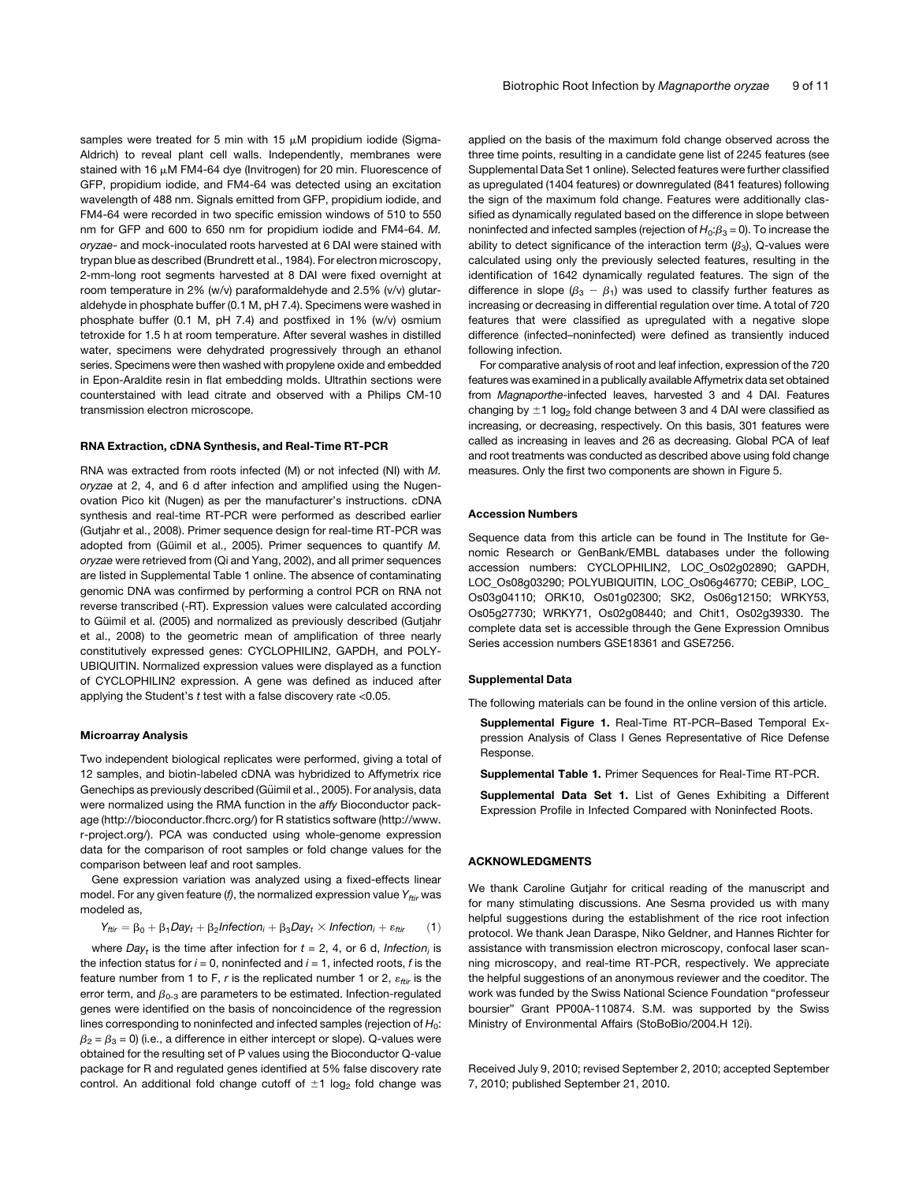samples were treated for 5 min with 15  $\mu$ M propidium iodide (Sigma-Aldrich) to reveal plant cell walls. Independently, membranes were stained with 16 µM FM4-64 dye (Invitrogen) for 20 min. Fluorescence of GFP, propidium iodide, and FM4-64 was detected using an excitation wavelength of 488 nm. Signals emitted from GFP, propidium iodide, and FM4-64 were recorded in two specific emission windows of 510 to 550 nm for GFP and 600 to 650 nm for propidium iodide and FM4-64. *M. oryzae*- and mock-inoculated roots harvested at 6 DAI were stained with trypan blue as described (Brundrett et al., 1984). For electron microscopy, 2-mm-long root segments harvested at 8 DAI were fixed overnight at room temperature in 2% (w/v) paraformaldehyde and 2.5% (v/v) glutaraldehyde in phosphate buffer (0.1 M, pH 7.4). Specimens were washed in phosphate buffer (0.1 M, pH 7.4) and postfixed in 1% (w/v) osmium tetroxide for 1.5 h at room temperature. After several washes in distilled water, specimens were dehydrated progressively through an ethanol series. Specimens were then washed with propylene oxide and embedded in Epon-Araldite resin in flat embedding molds. Ultrathin sections were counterstained with lead citrate and observed with a Philips CM-10 transmission electron microscope.

#### RNA Extraction, cDNA Synthesis, and Real-Time RT-PCR

RNA was extracted from roots infected (M) or not infected (NI) with *M. oryzae* at 2, 4, and 6 d after infection and amplified using the Nugenovation Pico kit (Nugen) as per the manufacturer's instructions. cDNA synthesis and real-time RT-PCR were performed as described earlier (Gutjahr et al., 2008). Primer sequence design for real-time RT-PCR was adopted from (Güimil et al., 2005). Primer sequences to quantify M. *oryzae* were retrieved from (Qi and Yang, 2002), and all primer sequences are listed in Supplemental Table 1 online. The absence of contaminating genomic DNA was confirmed by performing a control PCR on RNA not reverse transcribed (-RT). Expression values were calculated according to Güimil et al. (2005) and normalized as previously described (Gutjahr et al., 2008) to the geometric mean of amplification of three nearly constitutively expressed genes: CYCLOPHILIN2, GAPDH, and POLY-UBIQUITIN. Normalized expression values were displayed as a function of CYCLOPHILIN2 expression. A gene was defined as induced after applying the Student's *t* test with a false discovery rate <0.05.

#### Microarray Analysis

Two independent biological replicates were performed, giving a total of 12 samples, and biotin-labeled cDNA was hybridized to Affymetrix rice Genechips as previously described (Güimil et al., 2005). For analysis, data were normalized using the RMA function in the *affy* Bioconductor package (http://bioconductor.fhcrc.org/) for R statistics software (http://www. r-project.org/). PCA was conducted using whole-genome expression data for the comparison of root samples or fold change values for the comparison between leaf and root samples.

Gene expression variation was analyzed using a fixed-effects linear model. For any given feature (f), the normalized expression value Y<sub>ftir</sub> was modeled as,

$$
Y_{\textit{ftir}} = \beta_0 + \beta_1 \textit{Day}_t + \beta_2 \textit{Inflection}_i + \beta_3 \textit{Day}_t \times \textit{Inflection}_i + \epsilon_{\textit{ftir}} \qquad (1)
$$

where *Day<sub>t</sub>* is the time after infection for  $t = 2$ , 4, or 6 d, *Infection<sub>i</sub>* is the infection status for  $i = 0$ , noninfected and  $i = 1$ , infected roots,  $f$  is the feature number from 1 to F,  $r$  is the replicated number 1 or 2,  $\varepsilon_{\text{ftri}}$  is the error term, and  $\beta_{0-3}$  are parameters to be estimated. Infection-regulated genes were identified on the basis of noncoincidence of the regression lines corresponding to noninfected and infected samples (rejection of H<sub>0</sub>:  $\beta_2 = \beta_3 = 0$ ) (i.e., a difference in either intercept or slope). Q-values were obtained for the resulting set of P values using the Bioconductor Q-value package for R and regulated genes identified at 5% false discovery rate control. An additional fold change cutoff of  $\pm 1$  log<sub>2</sub> fold change was applied on the basis of the maximum fold change observed across the three time points, resulting in a candidate gene list of 2245 features (see Supplemental Data Set 1 online). Selected features were further classified as upregulated (1404 features) or downregulated (841 features) following the sign of the maximum fold change. Features were additionally classified as dynamically regulated based on the difference in slope between noninfected and infected samples (rejection of  $H_0$ : $\beta_3$  = 0). To increase the ability to detect significance of the interaction term  $(\beta_3)$ , Q-values were calculated using only the previously selected features, resulting in the identification of 1642 dynamically regulated features. The sign of the difference in slope  $(\beta_3 - \beta_1)$  was used to classify further features as increasing or decreasing in differential regulation over time. A total of 720 features that were classified as upregulated with a negative slope difference (infected–noninfected) were defined as transiently induced following infection.

For comparative analysis of root and leaf infection, expression of the 720 features was examined in a publically available Affymetrix data set obtained from *Magnaporthe*-infected leaves, harvested 3 and 4 DAI. Features changing by  $\pm 1$  log<sub>2</sub> fold change between 3 and 4 DAI were classified as increasing, or decreasing, respectively. On this basis, 301 features were called as increasing in leaves and 26 as decreasing. Global PCA of leaf and root treatments was conducted as described above using fold change measures. Only the first two components are shown in Figure 5.

#### Accession Numbers

Sequence data from this article can be found in The Institute for Genomic Research or GenBank/EMBL databases under the following accession numbers: CYCLOPHILIN2, LOC\_Os02g02890; GAPDH, LOC\_Os08g03290; POLYUBIQUITIN, LOC\_Os06g46770; CEBiP, LOC\_ Os03g04110; ORK10, Os01g02300; SK2, Os06g12150; WRKY53, Os05g27730; WRKY71, Os02g08440; and Chit1, Os02g39330. The complete data set is accessible through the Gene Expression Omnibus Series accession numbers GSE18361 and GSE7256.

#### Supplemental Data

The following materials can be found in the online version of this article.

Supplemental Figure 1. Real-Time RT-PCR–Based Temporal Expression Analysis of Class I Genes Representative of Rice Defense Response.

Supplemental Table 1. Primer Sequences for Real-Time RT-PCR.

Supplemental Data Set 1. List of Genes Exhibiting a Different Expression Profile in Infected Compared with Noninfected Roots.

#### ACKNOWLEDGMENTS

We thank Caroline Gutjahr for critical reading of the manuscript and for many stimulating discussions. Ane Sesma provided us with many helpful suggestions during the establishment of the rice root infection protocol. We thank Jean Daraspe, Niko Geldner, and Hannes Richter for assistance with transmission electron microscopy, confocal laser scanning microscopy, and real-time RT-PCR, respectively. We appreciate the helpful suggestions of an anonymous reviewer and the coeditor. The work was funded by the Swiss National Science Foundation "professeur boursier" Grant PP00A-110874. S.M. was supported by the Swiss Ministry of Environmental Affairs (StoBoBio/2004.H 12i).

Received July 9, 2010; revised September 2, 2010; accepted September 7, 2010; published September 21, 2010.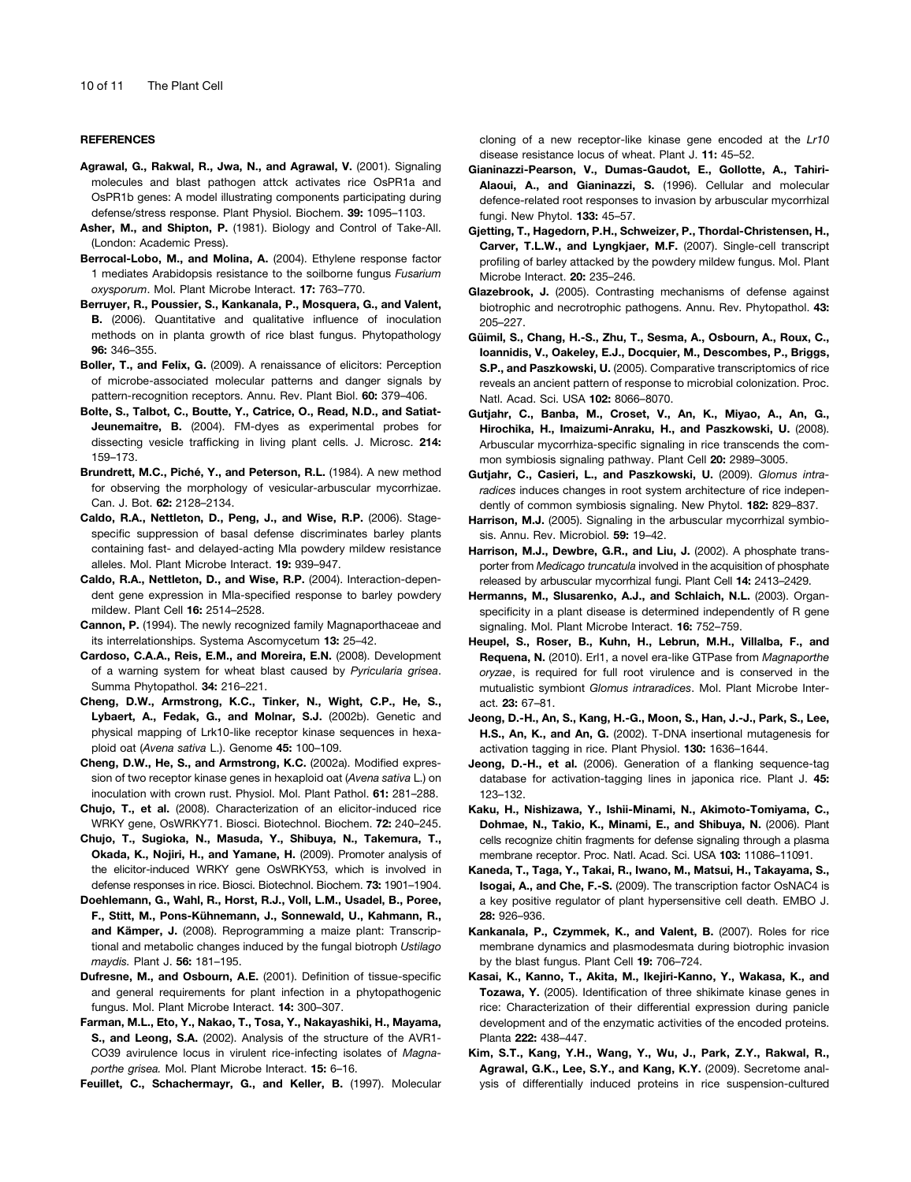#### **REFERENCES**

Agrawal, G., Rakwal, R., Jwa, N., and Agrawal, V. (2001). Signaling molecules and blast pathogen attck activates rice OsPR1a and OsPR1b genes: A model illustrating components participating during defense/stress response. Plant Physiol. Biochem. 39: 1095–1103.

- Asher, M., and Shipton, P. (1981). Biology and Control of Take-All. (London: Academic Press).
- Berrocal-Lobo, M., and Molina, A. (2004). Ethylene response factor 1 mediates Arabidopsis resistance to the soilborne fungus *Fusarium oxysporum*. Mol. Plant Microbe Interact. 17: 763–770.
- Berruyer, R., Poussier, S., Kankanala, P., Mosquera, G., and Valent, B. (2006). Quantitative and qualitative influence of inoculation methods on in planta growth of rice blast fungus. Phytopathology 96: 346–355.
- Boller, T., and Felix, G. (2009). A renaissance of elicitors: Perception of microbe-associated molecular patterns and danger signals by pattern-recognition receptors. Annu. Rev. Plant Biol. 60: 379–406.
- Bolte, S., Talbot, C., Boutte, Y., Catrice, O., Read, N.D., and Satiat-Jeunemaitre, B. (2004). FM-dyes as experimental probes for dissecting vesicle trafficking in living plant cells. J. Microsc. 214: 159–173.
- Brundrett, M.C., Piché, Y., and Peterson, R.L. (1984). A new method for observing the morphology of vesicular-arbuscular mycorrhizae. Can. J. Bot. 62: 2128–2134.
- Caldo, R.A., Nettleton, D., Peng, J., and Wise, R.P. (2006). Stagespecific suppression of basal defense discriminates barley plants containing fast- and delayed-acting Mla powdery mildew resistance alleles. Mol. Plant Microbe Interact. 19: 939–947.
- Caldo, R.A., Nettleton, D., and Wise, R.P. (2004). Interaction-dependent gene expression in Mla-specified response to barley powdery mildew. Plant Cell 16: 2514–2528.
- Cannon, P. (1994). The newly recognized family Magnaporthaceae and its interrelationships. Systema Ascomycetum 13: 25–42.
- Cardoso, C.A.A., Reis, E.M., and Moreira, E.N. (2008). Development of a warning system for wheat blast caused by *Pyricularia grisea*. Summa Phytopathol. 34: 216–221.
- Cheng, D.W., Armstrong, K.C., Tinker, N., Wight, C.P., He, S., Lybaert, A., Fedak, G., and Molnar, S.J. (2002b). Genetic and physical mapping of Lrk10-like receptor kinase sequences in hexaploid oat (*Avena sativa* L.). Genome 45: 100–109.
- Cheng, D.W., He, S., and Armstrong, K.C. (2002a). Modified expression of two receptor kinase genes in hexaploid oat (*Avena sativa* L.) on inoculation with crown rust. Physiol. Mol. Plant Pathol. 61: 281–288.
- Chujo, T., et al. (2008). Characterization of an elicitor-induced rice WRKY gene, OsWRKY71. Biosci. Biotechnol. Biochem. 72: 240–245.
- Chujo, T., Sugioka, N., Masuda, Y., Shibuya, N., Takemura, T., Okada, K., Nojiri, H., and Yamane, H. (2009). Promoter analysis of the elicitor-induced WRKY gene OsWRKY53, which is involved in defense responses in rice. Biosci. Biotechnol. Biochem. 73: 1901–1904.
- Doehlemann, G., Wahl, R., Horst, R.J., Voll, L.M., Usadel, B., Poree, F., Stitt, M., Pons-Kühnemann, J., Sonnewald, U., Kahmann, R., and Kämper, J. (2008). Reprogramming a maize plant: Transcriptional and metabolic changes induced by the fungal biotroph *Ustilago maydis.* Plant J. 56: 181–195.
- Dufresne, M., and Osbourn, A.E. (2001). Definition of tissue-specific and general requirements for plant infection in a phytopathogenic fungus. Mol. Plant Microbe Interact. 14: 300–307.
- Farman, M.L., Eto, Y., Nakao, T., Tosa, Y., Nakayashiki, H., Mayama, S., and Leong, S.A. (2002). Analysis of the structure of the AVR1- CO39 avirulence locus in virulent rice-infecting isolates of *Magnaporthe grisea.* Mol. Plant Microbe Interact. 15: 6–16.
- Feuillet, C., Schachermayr, G., and Keller, B. (1997). Molecular

cloning of a new receptor-like kinase gene encoded at the *Lr10* disease resistance locus of wheat. Plant J. 11: 45–52.

- Gianinazzi-Pearson, V., Dumas-Gaudot, E., Gollotte, A., Tahiri-Alaoui, A., and Gianinazzi, S. (1996). Cellular and molecular defence-related root responses to invasion by arbuscular mycorrhizal fungi. New Phytol. 133: 45–57.
- Gjetting, T., Hagedorn, P.H., Schweizer, P., Thordal-Christensen, H., Carver, T.L.W., and Lyngkjaer, M.F. (2007). Single-cell transcript profiling of barley attacked by the powdery mildew fungus. Mol. Plant Microbe Interact. 20: 235–246.
- Glazebrook, J. (2005). Contrasting mechanisms of defense against biotrophic and necrotrophic pathogens. Annu. Rev. Phytopathol. 43: 205–227.
- Güimil, S., Chang, H.-S., Zhu, T., Sesma, A., Osbourn, A., Roux, C., Ioannidis, V., Oakeley, E.J., Docquier, M., Descombes, P., Briggs, S.P., and Paszkowski, U. (2005). Comparative transcriptomics of rice reveals an ancient pattern of response to microbial colonization. Proc. Natl. Acad. Sci. USA 102: 8066–8070.
- Gutjahr, C., Banba, M., Croset, V., An, K., Miyao, A., An, G., Hirochika, H., Imaizumi-Anraku, H., and Paszkowski, U. (2008). Arbuscular mycorrhiza-specific signaling in rice transcends the common symbiosis signaling pathway. Plant Cell 20: 2989–3005.
- Gutjahr, C., Casieri, L., and Paszkowski, U. (2009). *Glomus intraradices* induces changes in root system architecture of rice independently of common symbiosis signaling. New Phytol. 182: 829–837.
- Harrison, M.J. (2005). Signaling in the arbuscular mycorrhizal symbiosis. Annu. Rev. Microbiol. 59: 19–42.
- Harrison, M.J., Dewbre, G.R., and Liu, J. (2002). A phosphate transporter from *Medicago truncatula* involved in the acquisition of phosphate released by arbuscular mycorrhizal fungi. Plant Cell 14: 2413–2429.
- Hermanns, M., Slusarenko, A.J., and Schlaich, N.L. (2003). Organspecificity in a plant disease is determined independently of R gene signaling. Mol. Plant Microbe Interact. 16: 752–759.
- Heupel, S., Roser, B., Kuhn, H., Lebrun, M.H., Villalba, F., and Requena, N. (2010). Erl1, a novel era-like GTPase from *Magnaporthe oryzae*, is required for full root virulence and is conserved in the mutualistic symbiont *Glomus intraradices*. Mol. Plant Microbe Interact. 23: 67–81.
- Jeong, D.-H., An, S., Kang, H.-G., Moon, S., Han, J.-J., Park, S., Lee, H.S., An, K., and An, G. (2002). T-DNA insertional mutagenesis for activation tagging in rice. Plant Physiol. 130: 1636–1644.
- Jeong, D.-H., et al. (2006). Generation of a flanking sequence-tag database for activation-tagging lines in japonica rice. Plant J. 45: 123–132.
- Kaku, H., Nishizawa, Y., Ishii-Minami, N., Akimoto-Tomiyama, C., Dohmae, N., Takio, K., Minami, E., and Shibuya, N. (2006). Plant cells recognize chitin fragments for defense signaling through a plasma membrane receptor. Proc. Natl. Acad. Sci. USA 103: 11086–11091.
- Kaneda, T., Taga, Y., Takai, R., Iwano, M., Matsui, H., Takayama, S., Isogai, A., and Che, F.-S. (2009). The transcription factor OsNAC4 is a key positive regulator of plant hypersensitive cell death. EMBO J. 28: 926–936.
- Kankanala, P., Czymmek, K., and Valent, B. (2007). Roles for rice membrane dynamics and plasmodesmata during biotrophic invasion by the blast fungus. Plant Cell 19: 706–724.
- Kasai, K., Kanno, T., Akita, M., Ikejiri-Kanno, Y., Wakasa, K., and Tozawa, Y. (2005). Identification of three shikimate kinase genes in rice: Characterization of their differential expression during panicle development and of the enzymatic activities of the encoded proteins. Planta 222: 438–447.
- Kim, S.T., Kang, Y.H., Wang, Y., Wu, J., Park, Z.Y., Rakwal, R., Agrawal, G.K., Lee, S.Y., and Kang, K.Y. (2009). Secretome analysis of differentially induced proteins in rice suspension-cultured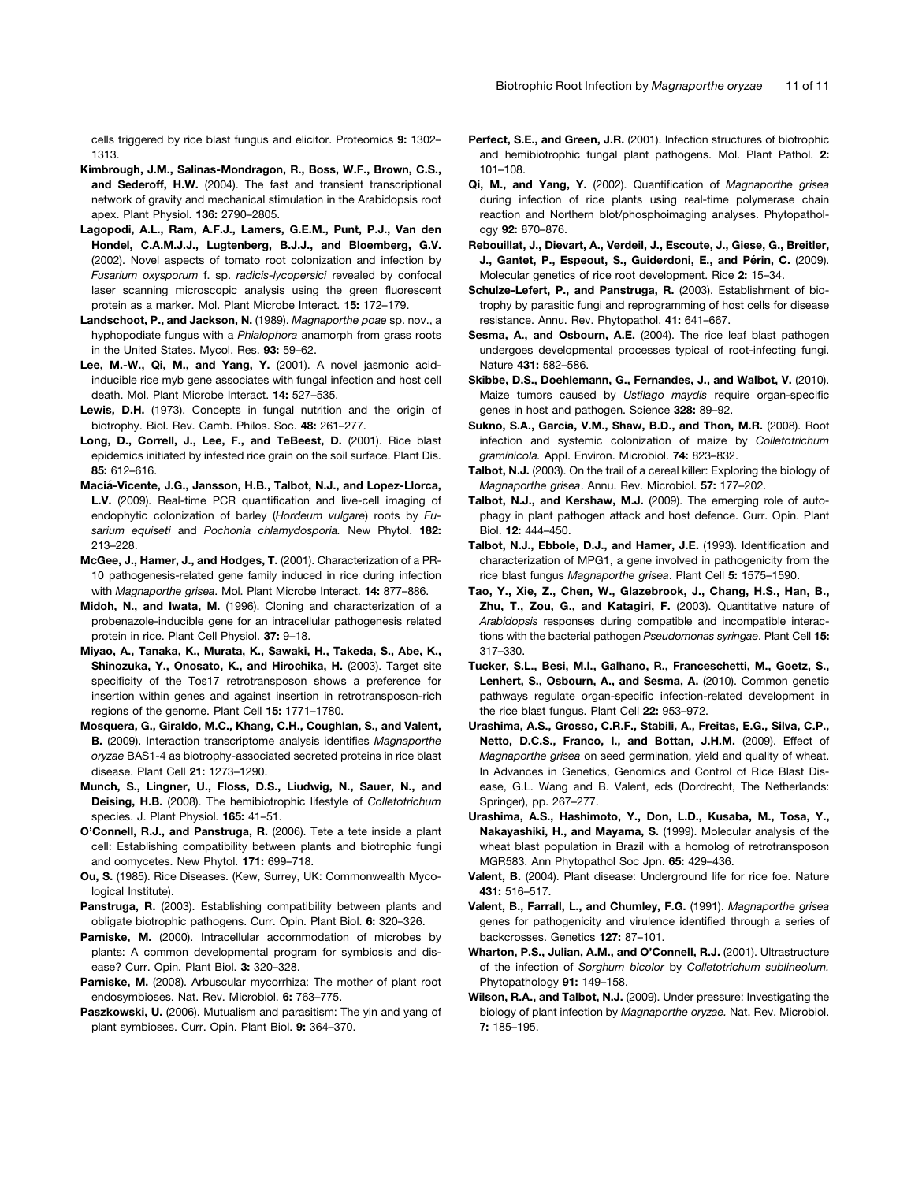cells triggered by rice blast fungus and elicitor. Proteomics 9: 1302– 1313.

- Kimbrough, J.M., Salinas-Mondragon, R., Boss, W.F., Brown, C.S., and Sederoff, H.W. (2004). The fast and transient transcriptional network of gravity and mechanical stimulation in the Arabidopsis root apex. Plant Physiol. 136: 2790–2805.
- Lagopodi, A.L., Ram, A.F.J., Lamers, G.E.M., Punt, P.J., Van den Hondel, C.A.M.J.J., Lugtenberg, B.J.J., and Bloemberg, G.V. (2002). Novel aspects of tomato root colonization and infection by *Fusarium oxysporum* f. sp. *radicis-lycopersici* revealed by confocal laser scanning microscopic analysis using the green fluorescent protein as a marker. Mol. Plant Microbe Interact. 15: 172–179.
- Landschoot, P., and Jackson, N. (1989). *Magnaporthe poae* sp. nov., a hyphopodiate fungus with a *Phialophora* anamorph from grass roots in the United States. Mycol. Res. 93: 59–62.
- Lee, M.-W., Qi, M., and Yang, Y. (2001). A novel jasmonic acidinducible rice myb gene associates with fungal infection and host cell death. Mol. Plant Microbe Interact. 14: 527–535.
- Lewis, D.H. (1973). Concepts in fungal nutrition and the origin of biotrophy. Biol. Rev. Camb. Philos. Soc. 48: 261–277.
- Long, D., Correll, J., Lee, F., and TeBeest, D. (2001). Rice blast epidemics initiated by infested rice grain on the soil surface. Plant Dis. 85: 612–616.
- Maciá-Vicente, J.G., Jansson, H.B., Talbot, N.J., and Lopez-Llorca, L.V. (2009). Real-time PCR quantification and live-cell imaging of endophytic colonization of barley (*Hordeum vulgare*) roots by *Fusarium equiseti* and *Pochonia chlamydosporia.* New Phytol. 182: 213–228.
- McGee, J., Hamer, J., and Hodges, T. (2001). Characterization of a PR-10 pathogenesis-related gene family induced in rice during infection with *Magnaporthe grisea*. Mol. Plant Microbe Interact. 14: 877–886.
- Midoh, N., and Iwata, M. (1996). Cloning and characterization of a probenazole-inducible gene for an intracellular pathogenesis related protein in rice. Plant Cell Physiol. 37: 9–18.
- Miyao, A., Tanaka, K., Murata, K., Sawaki, H., Takeda, S., Abe, K., Shinozuka, Y., Onosato, K., and Hirochika, H. (2003). Target site specificity of the Tos17 retrotransposon shows a preference for insertion within genes and against insertion in retrotransposon-rich regions of the genome. Plant Cell 15: 1771–1780.
- Mosquera, G., Giraldo, M.C., Khang, C.H., Coughlan, S., and Valent, B. (2009). Interaction transcriptome analysis identifies *Magnaporthe oryzae* BAS1-4 as biotrophy-associated secreted proteins in rice blast disease. Plant Cell 21: 1273–1290.
- Munch, S., Lingner, U., Floss, D.S., Liudwig, N., Sauer, N., and Deising, H.B. (2008). The hemibiotrophic lifestyle of *Colletotrichum* species. J. Plant Physiol. 165: 41-51.
- O'Connell, R.J., and Panstruga, R. (2006). Tete a tete inside a plant cell: Establishing compatibility between plants and biotrophic fungi and oomycetes. New Phytol. 171: 699–718.
- Ou, S. (1985). Rice Diseases. (Kew, Surrey, UK: Commonwealth Mycological Institute).
- Panstruga, R. (2003). Establishing compatibility between plants and obligate biotrophic pathogens. Curr. Opin. Plant Biol. 6: 320–326.
- Parniske, M. (2000). Intracellular accommodation of microbes by plants: A common developmental program for symbiosis and disease? Curr. Opin. Plant Biol. 3: 320–328.
- Parniske, M. (2008). Arbuscular mycorrhiza: The mother of plant root endosymbioses. Nat. Rev. Microbiol. 6: 763–775.
- Paszkowski, U. (2006). Mutualism and parasitism: The yin and yang of plant symbioses. Curr. Opin. Plant Biol. 9: 364–370.
- Perfect, S.E., and Green, J.R. (2001). Infection structures of biotrophic and hemibiotrophic fungal plant pathogens. Mol. Plant Pathol. 2: 101–108.
- Qi, M., and Yang, Y. (2002). Quantification of *Magnaporthe grisea* during infection of rice plants using real-time polymerase chain reaction and Northern blot/phosphoimaging analyses. Phytopathology 92: 870–876.
- Rebouillat, J., Dievart, A., Verdeil, J., Escoute, J., Giese, G., Breitler, J., Gantet, P., Espeout, S., Guiderdoni, E., and Périn, C. (2009). Molecular genetics of rice root development. Rice 2: 15–34.
- Schulze-Lefert, P., and Panstruga, R. (2003). Establishment of biotrophy by parasitic fungi and reprogramming of host cells for disease resistance. Annu. Rev. Phytopathol. 41: 641–667.
- Sesma, A., and Osbourn, A.E. (2004). The rice leaf blast pathogen undergoes developmental processes typical of root-infecting fungi. Nature 431: 582–586.
- Skibbe, D.S., Doehlemann, G., Fernandes, J., and Walbot, V. (2010). Maize tumors caused by *Ustilago maydis* require organ-specific genes in host and pathogen. Science 328: 89–92.
- Sukno, S.A., Garcia, V.M., Shaw, B.D., and Thon, M.R. (2008). Root infection and systemic colonization of maize by *Colletotrichum graminicola.* Appl. Environ. Microbiol. 74: 823–832.
- Talbot, N.J. (2003). On the trail of a cereal killer: Exploring the biology of *Magnaporthe grisea*. Annu. Rev. Microbiol. 57: 177–202.
- Talbot, N.J., and Kershaw, M.J. (2009). The emerging role of autophagy in plant pathogen attack and host defence. Curr. Opin. Plant Biol. 12: 444–450.
- Talbot, N.J., Ebbole, D.J., and Hamer, J.E. (1993). Identification and characterization of MPG1, a gene involved in pathogenicity from the rice blast fungus *Magnaporthe grisea*. Plant Cell 5: 1575–1590.
- Tao, Y., Xie, Z., Chen, W., Glazebrook, J., Chang, H.S., Han, B., Zhu, T., Zou, G., and Katagiri, F. (2003). Quantitative nature of *Arabidopsis* responses during compatible and incompatible interactions with the bacterial pathogen *Pseudomonas syringae*. Plant Cell 15: 317–330.
- Tucker, S.L., Besi, M.I., Galhano, R., Franceschetti, M., Goetz, S., Lenhert, S., Osbourn, A., and Sesma, A. (2010). Common genetic pathways regulate organ-specific infection-related development in the rice blast fungus. Plant Cell 22: 953–972.
- Urashima, A.S., Grosso, C.R.F., Stabili, A., Freitas, E.G., Silva, C.P., Netto, D.C.S., Franco, I., and Bottan, J.H.M. (2009). Effect of *Magnaporthe grisea* on seed germination, yield and quality of wheat. In Advances in Genetics, Genomics and Control of Rice Blast Disease, G.L. Wang and B. Valent, eds (Dordrecht, The Netherlands: Springer), pp. 267–277.
- Urashima, A.S., Hashimoto, Y., Don, L.D., Kusaba, M., Tosa, Y., Nakayashiki, H., and Mayama, S. (1999). Molecular analysis of the wheat blast population in Brazil with a homolog of retrotransposon MGR583. Ann Phytopathol Soc Jpn. 65: 429–436.
- Valent, B. (2004). Plant disease: Underground life for rice foe. Nature 431: 516–517.
- Valent, B., Farrall, L., and Chumley, F.G. (1991). *Magnaporthe grisea* genes for pathogenicity and virulence identified through a series of backcrosses. Genetics 127: 87–101.
- Wharton, P.S., Julian, A.M., and O'Connell, R.J. (2001). Ultrastructure of the infection of *Sorghum bicolor* by *Colletotrichum sublineolum.* Phytopathology 91: 149–158.
- Wilson, R.A., and Talbot, N.J. (2009). Under pressure: Investigating the biology of plant infection by *Magnaporthe oryzae.* Nat. Rev. Microbiol. 7: 185–195.